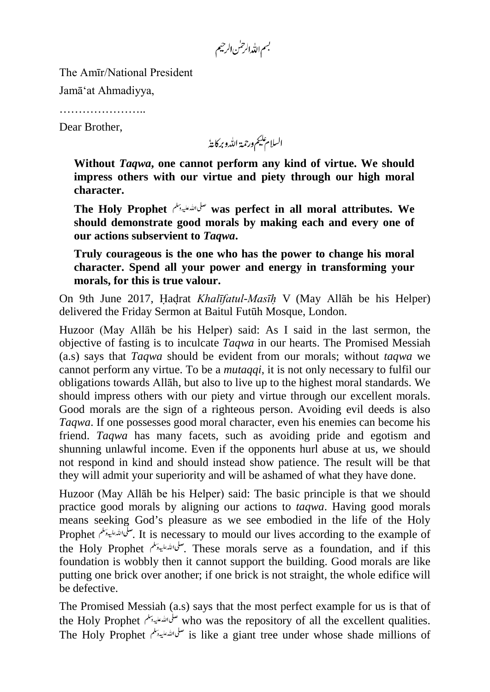بسم الله الرحس الرحيم

The Amīr/National President

Jamā'at Ahmadiyya,

…………………………

Dear Brother,

السلام عليم ورحمة الله وبركايةُ

**Without** *Taqwa***, one cannot perform any kind of virtue. We should impress others with our virtue and piety through our high moral character.**

**The Holy Prophet was perfect in all moral attributes. We should demonstrate good morals by making each and every one of our actions subservient to** *Taqwa***.**

**Truly courageous is the one who has the power to change his moral character. Spend all your power and energy in transforming your morals, for this is true valour.**

On 9th June 2017, Hadrat *Khalīfatul-Masīh* V (May Allāh be his Helper) delivered the Friday Sermon at Baitul Futūh Mosque, London.

Huzoor (May Allāh be his Helper) said: As I said in the last sermon, the objective of fasting is to inculcate *Taqwa* in our hearts. The Promised Messiah (a.s) says that *Taqwa* should be evident from our morals; without *taqwa* we cannot perform any virtue. To be a *mutaqqi*, it is not only necessary to fulfil our obligations towards Allāh, but also to live up to the highest moral standards. We should impress others with our piety and virtue through our excellent morals. Good morals are the sign of a righteous person. Avoiding evil deeds is also *Taqwa*. If one possesses good moral character, even his enemies can become his friend. *Taqwa* has many facets, such as avoiding pride and egotism and shunning unlawful income. Even if the opponents hurl abuse at us, we should not respond in kind and should instead show patience. The result will be that they will admit your superiority and will be ashamed of what they have done.

Huzoor (May Allāh be his Helper) said: The basic principle is that we should practice good morals by aligning our actions to *taqwa*. Having good morals means seeking God's pleasure as we see embodied in the life of the Holy Prophet . سلى الله عليه وسلم At is necessary to mould our lives according to the example of the Holy Prophet . These morals serve as a foundation, and if this foundation is wobbly then it cannot support the building. Good morals are like putting one brick over another; if one brick is not straight, the whole edifice will be defective.

The Promised Messiah (a.s) says that the most perfect example for us is that of the Holy Prophet *سلّى الله علي*دد على السلام who was the repository of all the excellent qualities. The Holy Prophet *سلّى الله عليه وتل*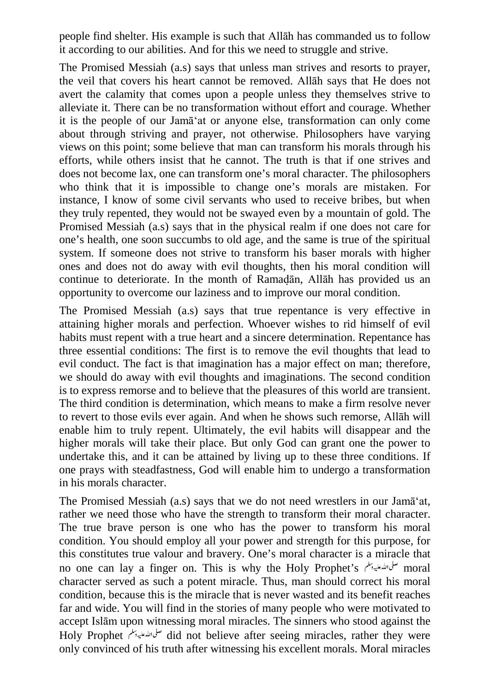people find shelter. His example is such that Allāh has commanded us to follow it according to our abilities. And for this we need to struggle and strive.

The Promised Messiah (a.s) says that unless man strives and resorts to prayer, the veil that covers his heart cannot be removed. Allāh says that He does not avert the calamity that comes upon a people unless they themselves strive to alleviate it. There can be no transformation without effort and courage. Whether it is the people of our Jamā'at or anyone else, transformation can only come about through striving and prayer, not otherwise. Philosophers have varying views on this point; some believe that man can transform his morals through his efforts, while others insist that he cannot. The truth is that if one strives and does not become lax, one can transform one's moral character. The philosophers who think that it is impossible to change one's morals are mistaken. For instance, I know of some civil servants who used to receive bribes, but when they truly repented, they would not be swayed even by a mountain of gold. The Promised Messiah (a.s) says that in the physical realm if one does not care for one's health, one soon succumbs to old age, and the same is true of the spiritual system. If someone does not strive to transform his baser morals with higher ones and does not do away with evil thoughts, then his moral condition will continue to deteriorate. In the month of Ramadān, Allāh has provided us an opportunity to overcome our laziness and to improve our moral condition.

The Promised Messiah (a.s) says that true repentance is very effective in attaining higher morals and perfection. Whoever wishes to rid himself of evil habits must repent with a true heart and a sincere determination. Repentance has three essential conditions: The first is to remove the evil thoughts that lead to evil conduct. The fact is that imagination has a major effect on man; therefore, we should do away with evil thoughts and imaginations. The second condition is to express remorse and to believe that the pleasures of this world are transient. The third condition is determination, which means to make a firm resolve never to revert to those evils ever again. And when he shows such remorse, Allāh will enable him to truly repent. Ultimately, the evil habits will disappear and the higher morals will take their place. But only God can grant one the power to undertake this, and it can be attained by living up to these three conditions. If one prays with steadfastness, God will enable him to undergo a transformation in his morals character.

The Promised Messiah (a.s) says that we do not need wrestlers in our Jamā'at, rather we need those who have the strength to transform their moral character. The true brave person is one who has the power to transform his moral condition. You should employ all your power and strength for this purpose, for this constitutes true valour and bravery. One's moral character is a miracle that no one can lay a finger on. This is why the Holy Prophet's moral moral character served as such a potent miracle. Thus, man should correct his moral condition, because this is the miracle that is never wasted and its benefit reaches far and wide. You will find in the stories of many people who were motivated to accept Islām upon witnessing moral miracles. The sinners who stood against the Holy Prophet *ملمان الله علي*دينكم did not believe after seeing miracles, rather they were only convinced of his truth after witnessing his excellent morals. Moral miracles